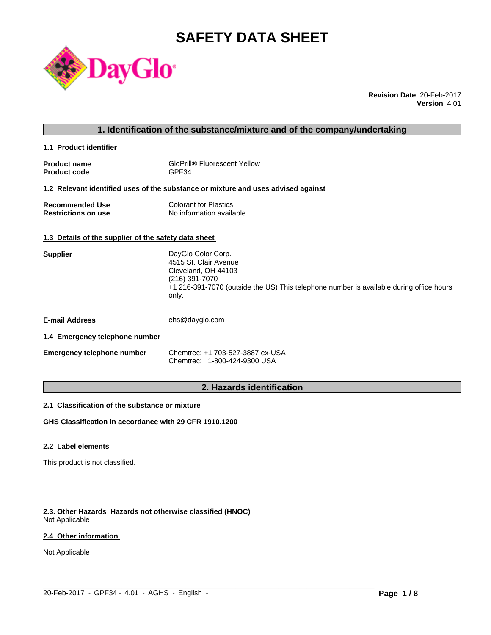# **SAFETY DATA SHEET**



**Revision Date** 20-Feb-2017 **Version** 4.01

# **1. Identification of the substance/mixture and of the company/undertaking**

**1.1 Product identifier** 

| <b>Product name</b> | <b>GloPrill® Fluorescent Yellow</b> |
|---------------------|-------------------------------------|
| <b>Product code</b> | GPF34                               |

# **1.2 Relevant identified uses of the substance or mixture and uses advised against**

| <b>Recommended Use</b>     | <b>Colorant for Plastics</b> |
|----------------------------|------------------------------|
| <b>Restrictions on use</b> | No information available     |

# **1.3 Details of the supplier of the safety data sheet**

| <b>Supplier</b>       | DayGlo Color Corp.<br>4515 St. Clair Avenue<br>Cleveland, OH 44103<br>(216) 391-7070<br>+1 216-391-7070 (outside the US) This telephone number is available during office hours<br>only. |
|-----------------------|------------------------------------------------------------------------------------------------------------------------------------------------------------------------------------------|
| <b>E-mail Address</b> | ehs@dayglo.com                                                                                                                                                                           |

# **1.4 Emergency telephone number**

| <b>Emergency telephone number</b> | Chemtrec: +1 703-527-3887 ex-USA |
|-----------------------------------|----------------------------------|
|                                   | Chemtrec: 1-800-424-9300 USA     |

# **2. Hazards identification**

 $\_$  ,  $\_$  ,  $\_$  ,  $\_$  ,  $\_$  ,  $\_$  ,  $\_$  ,  $\_$  ,  $\_$  ,  $\_$  ,  $\_$  ,  $\_$  ,  $\_$  ,  $\_$  ,  $\_$  ,  $\_$  ,  $\_$  ,  $\_$  ,  $\_$  ,  $\_$  ,  $\_$  ,  $\_$  ,  $\_$  ,  $\_$  ,  $\_$  ,  $\_$  ,  $\_$  ,  $\_$  ,  $\_$  ,  $\_$  ,  $\_$  ,  $\_$  ,  $\_$  ,  $\_$  ,  $\_$  ,  $\_$  ,  $\_$  ,

# **2.1 Classification of the substance or mixture**

**GHS Classification in accordance with 29 CFR 1910.1200**

# **2.2 Label elements**

This product is not classified.

### **2.3. Other Hazards Hazards not otherwise classified (HNOC)** Not Applicable

# **2.4 Other information**

Not Applicable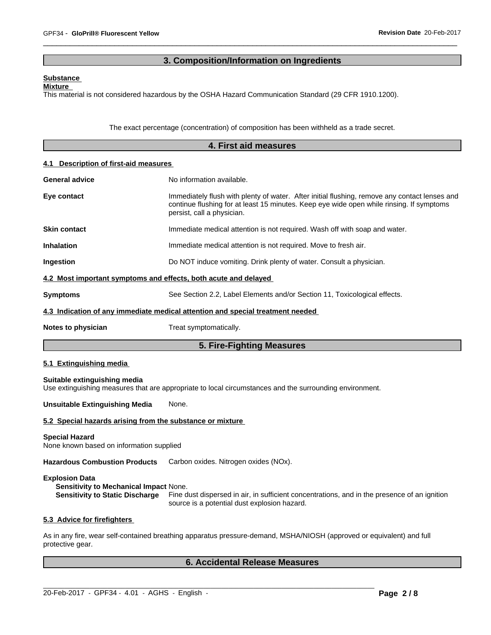# **3. Composition/Information on Ingredients**

# **Substance**

# **Mixture**

This material is not considered hazardous by the OSHA Hazard Communication Standard (29 CFR 1910.1200).

The exact percentage (concentration) of composition has been withheld as a trade secret.

|                                                                                                                  | 4. First aid measures                                                                                                                                                                                                   |
|------------------------------------------------------------------------------------------------------------------|-------------------------------------------------------------------------------------------------------------------------------------------------------------------------------------------------------------------------|
| Description of first-aid measures<br>4.1                                                                         |                                                                                                                                                                                                                         |
| <b>General advice</b>                                                                                            | No information available.                                                                                                                                                                                               |
| Eye contact                                                                                                      | Immediately flush with plenty of water. After initial flushing, remove any contact lenses and<br>continue flushing for at least 15 minutes. Keep eye wide open while rinsing. If symptoms<br>persist, call a physician. |
| <b>Skin contact</b>                                                                                              | Immediate medical attention is not required. Wash off with soap and water.                                                                                                                                              |
| <b>Inhalation</b>                                                                                                | Immediate medical attention is not required. Move to fresh air.                                                                                                                                                         |
| Ingestion                                                                                                        | Do NOT induce vomiting. Drink plenty of water. Consult a physician.                                                                                                                                                     |
| 4.2 Most important symptoms and effects, both acute and delayed                                                  |                                                                                                                                                                                                                         |
| <b>Symptoms</b>                                                                                                  | See Section 2.2, Label Elements and/or Section 11, Toxicological effects.                                                                                                                                               |
|                                                                                                                  | 4.3 Indication of any immediate medical attention and special treatment needed                                                                                                                                          |
| Notes to physician                                                                                               | Treat symptomatically.                                                                                                                                                                                                  |
|                                                                                                                  | 5. Fire-Fighting Measures                                                                                                                                                                                               |
| 5.1 Extinguishing media                                                                                          |                                                                                                                                                                                                                         |
| Suitable extinguishing media                                                                                     | Use extinguishing measures that are appropriate to local circumstances and the surrounding environment.                                                                                                                 |
| <b>Unsuitable Extinguishing Media</b>                                                                            | None.                                                                                                                                                                                                                   |
| 5.2 Special hazards arising from the substance or mixture                                                        |                                                                                                                                                                                                                         |
| <b>Special Hazard</b><br>None known based on information supplied                                                |                                                                                                                                                                                                                         |
| <b>Hazardous Combustion Products</b>                                                                             | Carbon oxides. Nitrogen oxides (NOx).                                                                                                                                                                                   |
| <b>Explosion Data</b><br><b>Sensitivity to Mechanical Impact None.</b><br><b>Sensitivity to Static Discharge</b> | Fine dust dispersed in air, in sufficient concentrations, and in the presence of an ignition<br>source is a potential dust explosion hazard.                                                                            |
| 5.3 Advice for firefighters                                                                                      |                                                                                                                                                                                                                         |
| protective gear.                                                                                                 | As in any fire, wear self-contained breathing apparatus pressure-demand, MSHA/NIOSH (approved or equivalent) and full                                                                                                   |

# **6. Accidental Release Measures**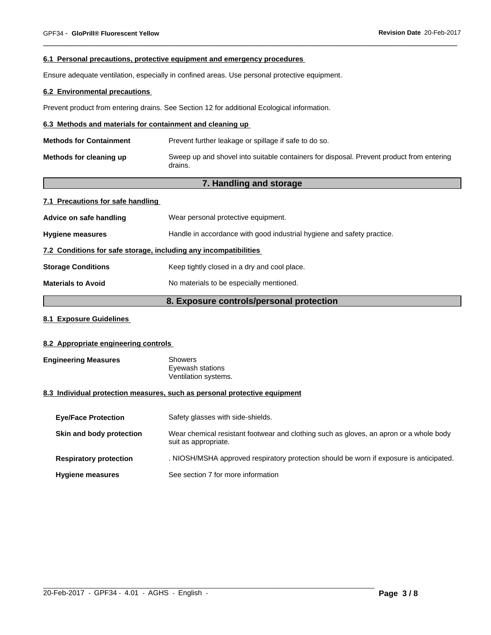#### **6.1 Personal precautions, protective equipment and emergency procedures**

Ensure adequate ventilation, especially in confined areas. Use personal protective equipment.

# **6.2 Environmental precautions**

Prevent product from entering drains. See Section 12 for additional Ecological information.

# **6.3 Methods and materials for containment and cleaning up**

| <b>Methods for Containment</b> | Prevent further leakage or spillage if safe to do so.                                               |
|--------------------------------|-----------------------------------------------------------------------------------------------------|
| Methods for cleaning up        | Sweep up and shovel into suitable containers for disposal. Prevent product from entering<br>drains. |

# **7. Handling and storage**

| 7.1 Precautions for safe handling                                |                                                                        |  |
|------------------------------------------------------------------|------------------------------------------------------------------------|--|
| Advice on safe handling                                          | Wear personal protective equipment.                                    |  |
| <b>Hygiene measures</b>                                          | Handle in accordance with good industrial hygiene and safety practice. |  |
| 7.2 Conditions for safe storage, including any incompatibilities |                                                                        |  |
| <b>Storage Conditions</b>                                        | Keep tightly closed in a dry and cool place.                           |  |
| <b>Materials to Avoid</b>                                        | No materials to be especially mentioned.                               |  |

# **8. Exposure controls/personal protection**

# **8.1 Exposure Guidelines**

# **8.2 Appropriate engineering controls**

| <b>Engineering Measures</b> | Showers              |
|-----------------------------|----------------------|
|                             | Eyewash stations     |
|                             | Ventilation systems. |

# **8.3 Individual protection measures, such as personal protective equipment**

| <b>Eye/Face Protection</b>    | Safety glasses with side-shields.                                                                              |
|-------------------------------|----------------------------------------------------------------------------------------------------------------|
| Skin and body protection      | Wear chemical resistant footwear and clothing such as gloves, an apron or a whole body<br>suit as appropriate. |
| <b>Respiratory protection</b> | . NIOSH/MSHA approved respiratory protection should be worn if exposure is anticipated.                        |
| <b>Hygiene measures</b>       | See section 7 for more information                                                                             |

 $\_$  ,  $\_$  ,  $\_$  ,  $\_$  ,  $\_$  ,  $\_$  ,  $\_$  ,  $\_$  ,  $\_$  ,  $\_$  ,  $\_$  ,  $\_$  ,  $\_$  ,  $\_$  ,  $\_$  ,  $\_$  ,  $\_$  ,  $\_$  ,  $\_$  ,  $\_$  ,  $\_$  ,  $\_$  ,  $\_$  ,  $\_$  ,  $\_$  ,  $\_$  ,  $\_$  ,  $\_$  ,  $\_$  ,  $\_$  ,  $\_$  ,  $\_$  ,  $\_$  ,  $\_$  ,  $\_$  ,  $\_$  ,  $\_$  ,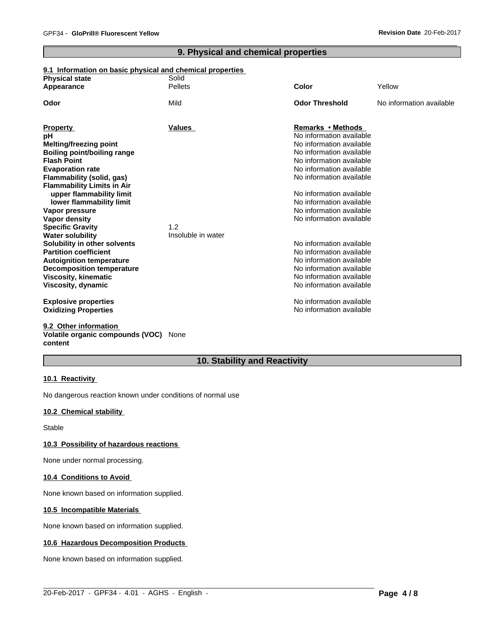# **9. Physical and chemical properties**

# **9.1 Information on basic physical and chemical properties**

| <b>Physical state</b>                              | Solid              |                          |                          |
|----------------------------------------------------|--------------------|--------------------------|--------------------------|
| Appearance                                         | <b>Pellets</b>     | Color                    | Yellow                   |
| Odor                                               | Mild               | <b>Odor Threshold</b>    | No information available |
| <b>Property</b>                                    | Values             | Remarks • Methods        |                          |
| рH                                                 |                    | No information available |                          |
| Melting/freezing point                             |                    | No information available |                          |
| <b>Boiling point/boiling range</b>                 |                    | No information available |                          |
| <b>Flash Point</b>                                 |                    | No information available |                          |
| <b>Evaporation rate</b>                            |                    | No information available |                          |
| Flammability (solid, gas)                          |                    | No information available |                          |
| <b>Flammability Limits in Air</b>                  |                    |                          |                          |
| upper flammability limit                           |                    | No information available |                          |
| lower flammability limit                           |                    | No information available |                          |
| Vapor pressure                                     |                    | No information available |                          |
| Vapor density                                      | 1.2                | No information available |                          |
| <b>Specific Gravity</b><br><b>Water solubility</b> | Insoluble in water |                          |                          |
| Solubility in other solvents                       |                    | No information available |                          |
| <b>Partition coefficient</b>                       |                    | No information available |                          |
| <b>Autoignition temperature</b>                    |                    | No information available |                          |
| <b>Decomposition temperature</b>                   |                    | No information available |                          |
| <b>Viscosity, kinematic</b>                        |                    | No information available |                          |
| Viscosity, dynamic                                 |                    | No information available |                          |
| <b>Explosive properties</b>                        |                    | No information available |                          |
| <b>Oxidizing Properties</b>                        |                    | No information available |                          |
| 9.2 Other information                              |                    |                          |                          |

# **Volatile organic compounds (VOC)** None **content**

# **10. Stability and Reactivity**

 $\_$  ,  $\_$  ,  $\_$  ,  $\_$  ,  $\_$  ,  $\_$  ,  $\_$  ,  $\_$  ,  $\_$  ,  $\_$  ,  $\_$  ,  $\_$  ,  $\_$  ,  $\_$  ,  $\_$  ,  $\_$  ,  $\_$  ,  $\_$  ,  $\_$  ,  $\_$  ,  $\_$  ,  $\_$  ,  $\_$  ,  $\_$  ,  $\_$  ,  $\_$  ,  $\_$  ,  $\_$  ,  $\_$  ,  $\_$  ,  $\_$  ,  $\_$  ,  $\_$  ,  $\_$  ,  $\_$  ,  $\_$  ,  $\_$  ,

#### **10.1 Reactivity**

No dangerous reaction known under conditions of normal use

# **10.2 Chemical stability**

Stable

#### **10.3 Possibility of hazardous reactions**

None under normal processing.

# **10.4 Conditions to Avoid**

None known based on information supplied.

#### **10.5 Incompatible Materials**

None known based on information supplied.

# **10.6 Hazardous Decomposition Products**

None known based on information supplied.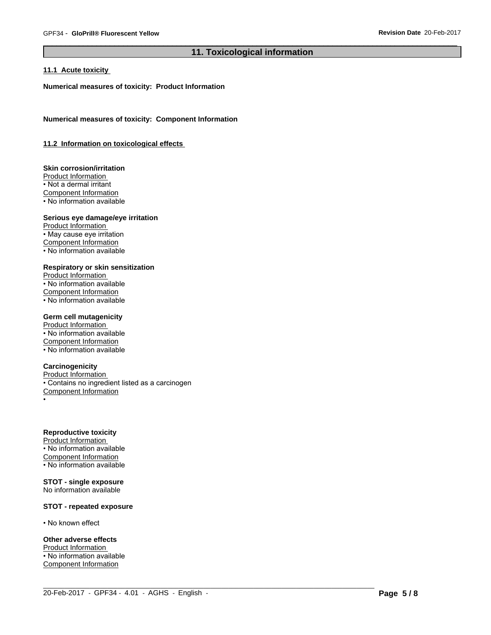# **11. Toxicological information**

 $\_$  ,  $\_$  ,  $\_$  ,  $\_$  ,  $\_$  ,  $\_$  ,  $\_$  ,  $\_$  ,  $\_$  ,  $\_$  ,  $\_$  ,  $\_$  ,  $\_$  ,  $\_$  ,  $\_$  ,  $\_$  ,  $\_$  ,  $\_$  ,  $\_$  ,  $\_$  ,  $\_$  ,  $\_$  ,  $\_$  ,  $\_$  ,  $\_$  ,  $\_$  ,  $\_$  ,  $\_$  ,  $\_$  ,  $\_$  ,  $\_$  ,  $\_$  ,  $\_$  ,  $\_$  ,  $\_$  ,  $\_$  ,  $\_$  ,

# **11.1 Acute toxicity**

**Numerical measures of toxicity: Product Information**

**Numerical measures of toxicity: Component Information**

### **11.2 Information on toxicologicaleffects**

# **Skin corrosion/irritation**

Product Information • Not a dermal irritant Component Information • No information available

# **Serious eye damage/eye irritation**

Product Information • May cause eye irritation Component Information • No information available

#### **Respiratory or skin sensitization**

Product Information • No information available Component Information • No information available

# **Germ cell mutagenicity**

Product Information  $\overline{\cdot}$  No information available Component Information • No information available

# **Carcinogenicity**

Product Information • Contains no ingredient listed as a carcinogen Component Information •

**Reproductive toxicity**

Product Information • No information available Component Information • No information available

#### **STOT - single exposure** No information available

# **STOT - repeated exposure**

• No known effect

#### **Other adverse effects**

Product Information • No information available Component Information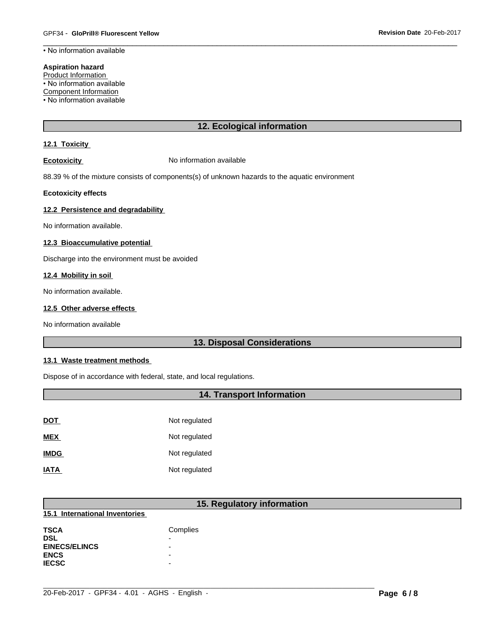• No information available

### **Aspiration hazard**

Product Information • No information available

Component Information

• No information available

# **12. Ecological information**

# **12.1 Toxicity**

**Ecotoxicity No information available** 

88.39 % of the mixture consists of components(s) of unknown hazards to the aquatic environment

# **Ecotoxicity effects**

# **12.2 Persistence and degradability**

No information available.

# **12.3 Bioaccumulative potential**

Discharge into the environment must be avoided

# **12.4 Mobility in soil**

No information available.

# **12.5 Other adverse effects**

No information available

# **13. Disposal Considerations**

# **13.1 Waste treatment methods**

Dispose of in accordance with federal, state, and local regulations.

# **14. Transport Information**

| <u>DOT</u>  | Not regulated |
|-------------|---------------|
| <b>MEX</b>  | Not regulated |
| <b>IMDG</b> | Not regulated |
| <b>IATA</b> | Not regulated |

# **15. Regulatory information**

 $\_$  ,  $\_$  ,  $\_$  ,  $\_$  ,  $\_$  ,  $\_$  ,  $\_$  ,  $\_$  ,  $\_$  ,  $\_$  ,  $\_$  ,  $\_$  ,  $\_$  ,  $\_$  ,  $\_$  ,  $\_$  ,  $\_$  ,  $\_$  ,  $\_$  ,  $\_$  ,  $\_$  ,  $\_$  ,  $\_$  ,  $\_$  ,  $\_$  ,  $\_$  ,  $\_$  ,  $\_$  ,  $\_$  ,  $\_$  ,  $\_$  ,  $\_$  ,  $\_$  ,  $\_$  ,  $\_$  ,  $\_$  ,  $\_$  ,

# **15.1 International Inventories**

| <b>TSCA</b>          | Complies                 |
|----------------------|--------------------------|
| DSL                  | -                        |
| <b>EINECS/ELINCS</b> | ۰                        |
| <b>ENCS</b>          | $\overline{\phantom{0}}$ |
| <b>IECSC</b>         | -                        |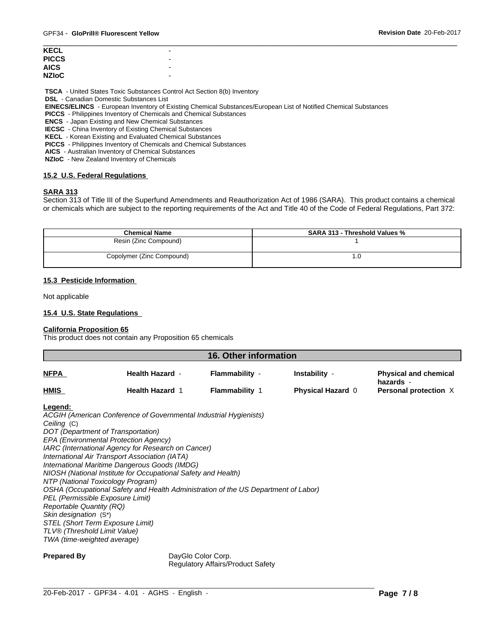| KECL  | $\overline{\phantom{0}}$ |  |
|-------|--------------------------|--|
| PICCS | $\overline{\phantom{0}}$ |  |
| AICS. | $\overline{\phantom{0}}$ |  |
| NZIoC | $\overline{\phantom{0}}$ |  |
|       |                          |  |

 **TSCA** - United States Toxic Substances Control Act Section 8(b) Inventory

 **DSL** - Canadian Domestic Substances List

 **EINECS/ELINCS** - European Inventory of Existing Chemical Substances/European List of Notified Chemical Substances

 **PICCS** - Philippines Inventory of Chemicals and Chemical Substances

 **ENCS** - Japan Existing and New Chemical Substances

 **IECSC** - China Inventory of Existing Chemical Substances

 **KECL** - Korean Existing and Evaluated Chemical Substances

 **PICCS** - Philippines Inventory of Chemicals and Chemical Substances

 **AICS** - Australian Inventory of Chemical Substances

 **NZIoC** - New Zealand Inventory of Chemicals

# **15.2 U.S. Federal Regulations**

# **SARA 313**

Section 313 of Title III of the Superfund Amendments and Reauthorization Act of 1986 (SARA). This product contains a chemical or chemicals which are subject to the reporting requirements of the Act and Title 40 of the Code of Federal Regulations, Part 372:

| <b>Chemical Name</b>      | <b>SARA 313 - Threshold Values %</b> |
|---------------------------|--------------------------------------|
| Resin (Zinc Compound)     |                                      |
| Copolymer (Zinc Compound) | . ن                                  |

# **15.3 Pesticide Information**

Not applicable

# **15.4 U.S. State Regulations**

# **California Proposition 65**

This product does not contain any Proposition 65 chemicals

| 16. Other information |                        |                       |                          |                                           |  |
|-----------------------|------------------------|-----------------------|--------------------------|-------------------------------------------|--|
| <b>NFPA</b>           | <b>Health Hazard -</b> | Flammability -        | Instability -            | <b>Physical and chemical</b><br>hazards - |  |
| <b>HMIS</b>           | <b>Health Hazard 1</b> | <b>Flammability 1</b> | <b>Physical Hazard 0</b> | Personal protection X                     |  |

#### **Legend:**

*ACGIH (American Conference of Governmental Industrial Hygienists) Ceiling* (C) *DOT (Department of Transportation) EPA (Environmental Protection Agency) IARC (International Agency for Research on Cancer) International Air Transport Association (IATA) International Maritime Dangerous Goods (IMDG) NIOSH (National Institute for Occupational Safety and Health) NTP (National Toxicology Program) OSHA (Occupational Safety and Health Administration of the US Department of Labor) PEL (Permissible Exposure Limit) Reportable Quantity (RQ) Skin designation* (S\*) *STEL (Short Term Exposure Limit) TLV® (Threshold Limit Value) TWA (time-weighted average)*

**Prepared By DayGlo Color Corp.** Regulatory Affairs/Product Safety